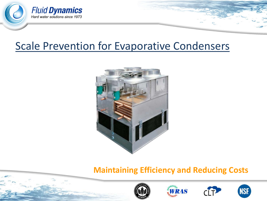

## Scale Prevention for Evaporative Condensers



## **Maintaining Efficiency and Reducing Costs**







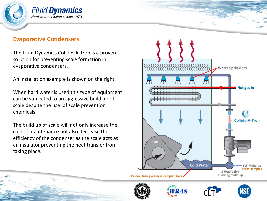

#### **Evaporative Condensers**

The Fluid Dynamics Colloid-A-Tron is a proven solution for preventing scale formation in evaporative condensers.

An installation example is shown on the right.

When hard water is used this type of equipment can be subjected to an aggressive build up of scale despite the use of scale prevention chemicals.

The build up of scale will not only increase the cost of maintenance but also decrease the efficiency of the condenser as the scale acts as an insulator preventing the heat transfer from taking place.



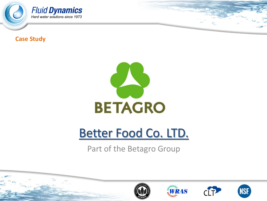

**Case Study**



# Better Food Co. LTD.

## Part of the Betagro Group

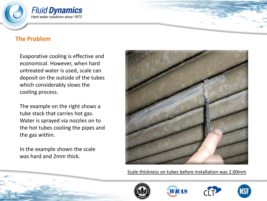

#### **The Problem**

Evaporative cooling is effective and economical. However, when hard untreated water is used, scale can deposit on the outside of the tubes which considerably slows the cooling process.

The example on the right shows a tube stack that carries hot gas. Water is sprayed via nozzles on to the hot tubes cooling the pipes and the gas within.

In the example shown the scale was hard and 2mm thick.



Scale thickness on tubes before installation was 2.00mm







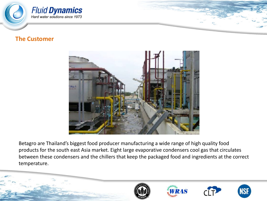

#### **The Customer**



Betagro are Thailand's biggest food producer manufacturing a wide range of high quality food products for the south east Asia market. Eight large evaporative condensers cool gas that circulates between these condensers and the chillers that keep the packaged food and ingredients at the correct temperature.

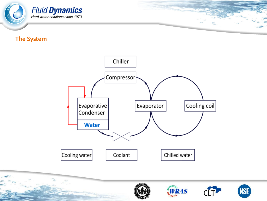

#### **The System**



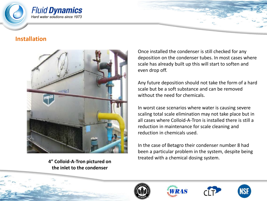

#### **Installation**



**4" Colloid-A-Tron pictured on the inlet to the condenser**

Once installed the condenser is still checked for any deposition on the condenser tubes. In most cases where scale has already built up this will start to soften and even drop off.

Any future deposition should not take the form of a hard scale but be a soft substance and can be removed without the need for chemicals.

In worst case scenarios where water is causing severe scaling total scale elimination may not take place but in all cases where Colloid-A-Tron is installed there is still a reduction in maintenance for scale cleaning and reduction in chemicals used.

In the case of Betagro their condenser number 8 had been a particular problem in the system, despite being treated with a chemical dosing system.







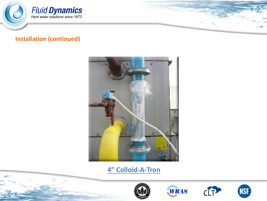

#### **Installation (continued)**



### **4" Colloid-A-Tron**







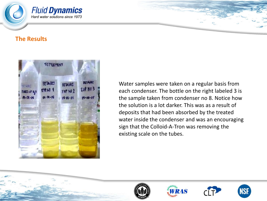

#### **The Results**



Water samples were taken on a regular basis from each condenser. The bottle on the right labeled 3 is the sample taken from condenser no 8. Notice how the solution is a lot darker. This was as a result of deposits that had been absorbed by the treated water inside the condenser and was an encouraging sign that the Colloid-A-Tron was removing the existing scale on the tubes.







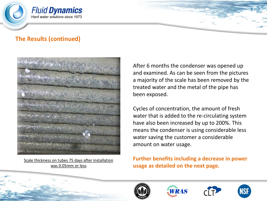





Scale thickness on tubes 75 days after installation was 0.05mm or less

After 6 months the condenser was opened up and examined. As can be seen from the pictures a majority of the scale has been removed by the treated water and the metal of the pipe has been exposed.

Cycles of concentration, the amount of fresh water that is added to the re-circulating system have also been increased by up to 200%. This means the condenser is using considerable less water saving the customer a considerable amount on water usage.

**Further benefits including a decrease in power usage as detailed on the next page.**







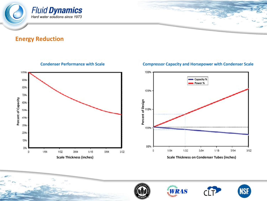

#### **Energy Reduction**



#### **Compressor Capacity and Horsepower with Condenser Scale**